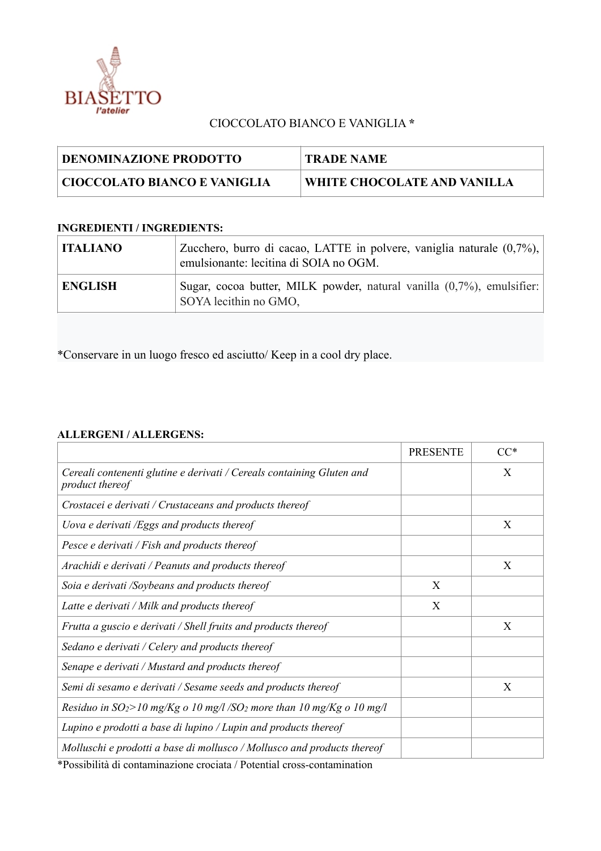

## CIOCCOLATO BIANCO E VANIGLIA **\***

| <b>DENOMINAZIONE PRODOTTO</b> | <b>TRADE NAME</b>           |
|-------------------------------|-----------------------------|
| CIOCCOLATO BIANCO E VANIGLIA  | WHITE CHOCOLATE AND VANILLA |

## **INGREDIENTI / INGREDIENTS:**

| <b>ITALIANO</b> | Zucchero, burro di cacao, LATTE in polvere, vaniglia naturale $(0,7\%)$ ,<br>emulsionante: lecitina di SOIA no OGM. |
|-----------------|---------------------------------------------------------------------------------------------------------------------|
| <b>ENGLISH</b>  | Sugar, cocoa butter, MILK powder, natural vanilla (0,7%), emulsifier:<br>SOYA lecithin no GMO,                      |

\*Conservare in un luogo fresco ed asciutto/ Keep in a cool dry place.

## **ALLERGENI / ALLERGENS:**

|   | X |
|---|---|
|   |   |
|   | X |
|   |   |
|   | X |
| X |   |
| X |   |
|   | X |
|   |   |
|   |   |
|   | X |
|   |   |
|   |   |
|   |   |
|   |   |

\*Possibilità di contaminazione crociata / Potential cross-contamination